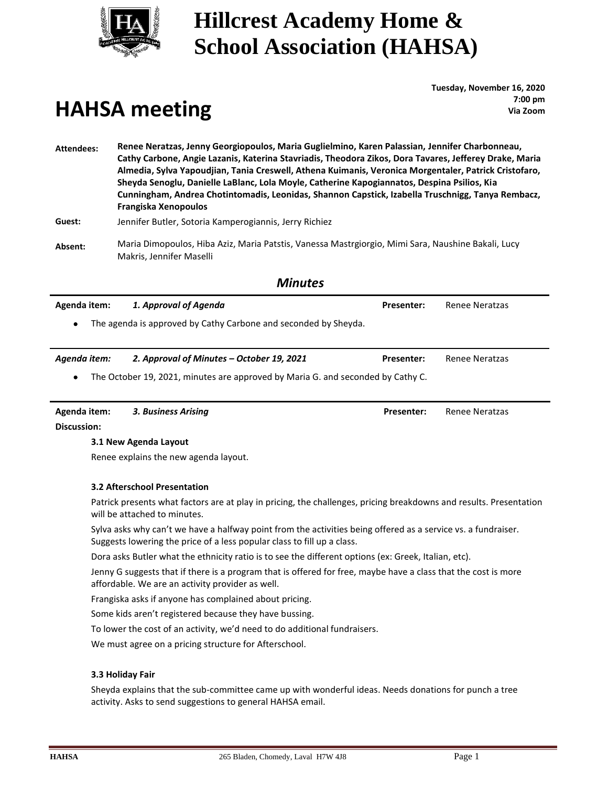

## **HAHSA meeting**

**Tuesday, November 16, 2020 : 7:00 pm Via Zoom**

**Attendees: Renee Neratzas, Jenny Georgiopoulos, Maria Guglielmino, Karen Palassian, Jennifer Charbonneau, Cathy Carbone, Angie Lazanis, Katerina Stavriadis, Theodora Zikos, Dora Tavares, Jefferey Drake, Maria Almedia, Sylva Yapoudjian, Tania Creswell, Athena Kuimanis, Veronica Morgentaler, Patrick Cristofaro, Sheyda Senoglu, Danielle LaBlanc, Lola Moyle, Catherine Kapogiannatos, Despina Psilios, Kia Cunningham, Andrea Chotintomadis, Leonidas, Shannon Capstick, Izabella Truschnigg, Tanya Rembacz, Frangiska Xenopoulos**

**Guest:** Jennifer Butler, Sotoria Kamperogiannis, Jerry Richiez

**Absent:** Maria Dimopoulos, Hiba Aziz, Maria Patstis, Vanessa Mastrgiorgio, Mimi Sara, Naushine Bakali, Lucy Makris, Jennifer Maselli

### *Minutes*

| Agenda item:                                                                                 | 1. Approval of Agenda                                           | <b>Presenter:</b> | Renee Neratzas |
|----------------------------------------------------------------------------------------------|-----------------------------------------------------------------|-------------------|----------------|
| $\bullet$                                                                                    | The agenda is approved by Cathy Carbone and seconded by Sheyda. |                   |                |
|                                                                                              |                                                                 |                   |                |
| Agenda item:                                                                                 | 2. Approval of Minutes – October 19, 2021                       | <b>Presenter:</b> | Renee Neratzas |
| The October 19, 2021, minutes are approved by Maria G. and seconded by Cathy C.<br>$\bullet$ |                                                                 |                   |                |
|                                                                                              |                                                                 |                   |                |

**Agenda item:** *3. Business Arising* **Presenter:** Renee Neratzas

**Discussion:**

#### **3.1 New Agenda Layout**

Renee explains the new agenda layout.

#### **3.2 Afterschool Presentation**

Patrick presents what factors are at play in pricing, the challenges, pricing breakdowns and results. Presentation will be attached to minutes.

Sylva asks why can't we have a halfway point from the activities being offered as a service vs. a fundraiser. Suggests lowering the price of a less popular class to fill up a class.

Dora asks Butler what the ethnicity ratio is to see the different options (ex: Greek, Italian, etc).

Jenny G suggests that if there is a program that is offered for free, maybe have a class that the cost is more affordable. We are an activity provider as well.

Frangiska asks if anyone has complained about pricing.

Some kids aren't registered because they have bussing.

To lower the cost of an activity, we'd need to do additional fundraisers.

We must agree on a pricing structure for Afterschool.

#### **3.3 Holiday Fair**

Sheyda explains that the sub-committee came up with wonderful ideas. Needs donations for punch a tree activity. Asks to send suggestions to general HAHSA email.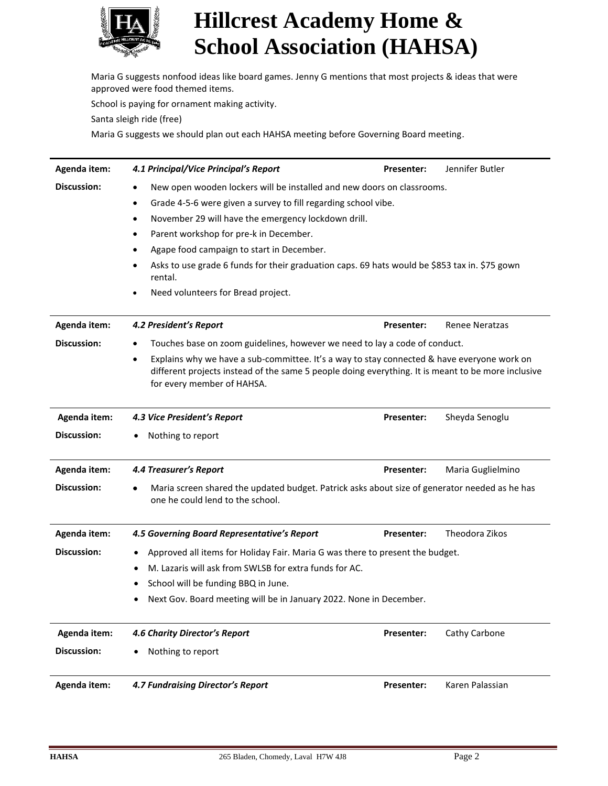

 Maria G suggests nonfood ideas like board games. Jenny G mentions that most projects & ideas that were approved were food themed items.

School is paying for ornament making activity.

Santa sleigh ride (free)

Maria G suggests we should plan out each HAHSA meeting before Governing Board meeting.

| Agenda item:       | 4.1 Principal/Vice Principal's Report                                                                                                                                                                                                       | Presenter:                                                                    | Jennifer Butler   |  |  |
|--------------------|---------------------------------------------------------------------------------------------------------------------------------------------------------------------------------------------------------------------------------------------|-------------------------------------------------------------------------------|-------------------|--|--|
| <b>Discussion:</b> | New open wooden lockers will be installed and new doors on classrooms.<br>$\bullet$<br>Grade 4-5-6 were given a survey to fill regarding school vibe.<br>$\bullet$                                                                          |                                                                               |                   |  |  |
|                    |                                                                                                                                                                                                                                             |                                                                               |                   |  |  |
|                    | November 29 will have the emergency lockdown drill.<br>$\bullet$                                                                                                                                                                            |                                                                               |                   |  |  |
|                    | Parent workshop for pre-k in December.<br>٠                                                                                                                                                                                                 |                                                                               |                   |  |  |
|                    | Agape food campaign to start in December.                                                                                                                                                                                                   |                                                                               |                   |  |  |
|                    | Asks to use grade 6 funds for their graduation caps. 69 hats would be \$853 tax in. \$75 gown<br>rental.                                                                                                                                    |                                                                               |                   |  |  |
|                    | Need volunteers for Bread project.<br>$\bullet$                                                                                                                                                                                             |                                                                               |                   |  |  |
| Agenda item:       | 4.2 President's Report                                                                                                                                                                                                                      | Presenter:                                                                    | Renee Neratzas    |  |  |
| Discussion:        | $\bullet$                                                                                                                                                                                                                                   | Touches base on zoom guidelines, however we need to lay a code of conduct.    |                   |  |  |
|                    | Explains why we have a sub-committee. It's a way to stay connected & have everyone work on<br>$\bullet$<br>different projects instead of the same 5 people doing everything. It is meant to be more inclusive<br>for every member of HAHSA. |                                                                               |                   |  |  |
| Agenda item:       | 4.3 Vice President's Report                                                                                                                                                                                                                 | <b>Presenter:</b>                                                             | Sheyda Senoglu    |  |  |
| Discussion:        | Nothing to report<br>٠                                                                                                                                                                                                                      |                                                                               |                   |  |  |
| Agenda item:       | <b>4.4 Treasurer's Report</b>                                                                                                                                                                                                               | Presenter:                                                                    | Maria Guglielmino |  |  |
| Discussion:        | Maria screen shared the updated budget. Patrick asks about size of generator needed as he has<br>one he could lend to the school.                                                                                                           |                                                                               |                   |  |  |
| Agenda item:       | 4.5 Governing Board Representative's Report                                                                                                                                                                                                 | Presenter:                                                                    | Theodora Zikos    |  |  |
| <b>Discussion:</b> | ٠                                                                                                                                                                                                                                           | Approved all items for Holiday Fair. Maria G was there to present the budget. |                   |  |  |
|                    | M. Lazaris will ask from SWLSB for extra funds for AC.<br>٠                                                                                                                                                                                 |                                                                               |                   |  |  |
|                    | School will be funding BBQ in June.                                                                                                                                                                                                         |                                                                               |                   |  |  |
|                    | Next Gov. Board meeting will be in January 2022. None in December.                                                                                                                                                                          |                                                                               |                   |  |  |
| Agenda item:       | 4.6 Charity Director's Report                                                                                                                                                                                                               | <b>Presenter:</b>                                                             | Cathy Carbone     |  |  |
| <b>Discussion:</b> | Nothing to report                                                                                                                                                                                                                           |                                                                               |                   |  |  |
| Agenda item:       | <b>4.7 Fundraising Director's Report</b>                                                                                                                                                                                                    | <b>Presenter:</b>                                                             | Karen Palassian   |  |  |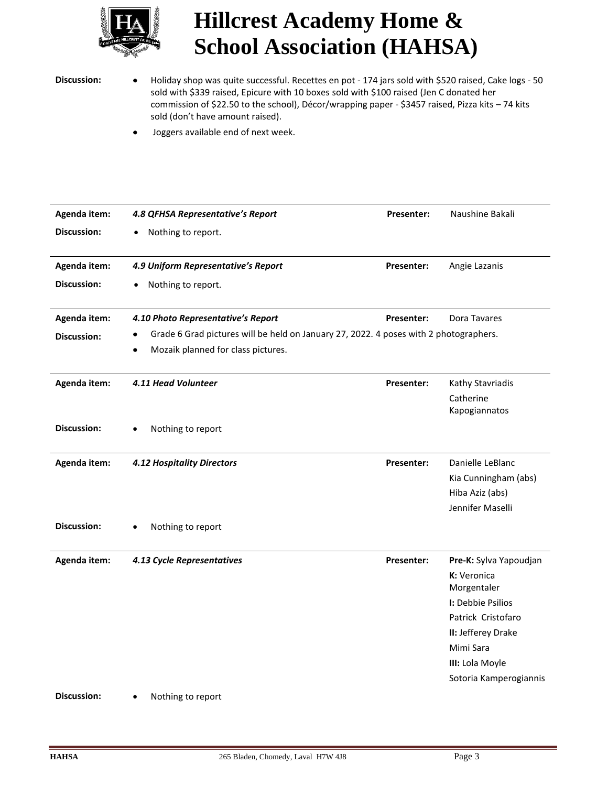

Discussion: • Holiday shop was quite successful. Recettes en pot - 174 jars sold with \$520 raised, Cake logs - 50 sold with \$339 raised, Epicure with 10 boxes sold with \$100 raised (Jen C donated her commission of \$22.50 to the school), Décor/wrapping paper - \$3457 raised, Pizza kits – 74 kits sold (don't have amount raised).

• Joggers available end of next week.

| Agenda item:       | 4.8 QFHSA Representative's Report                                                     | <b>Presenter:</b> | Naushine Bakali            |
|--------------------|---------------------------------------------------------------------------------------|-------------------|----------------------------|
| <b>Discussion:</b> | Nothing to report.<br>٠                                                               |                   |                            |
|                    |                                                                                       |                   |                            |
| Agenda item:       | 4.9 Uniform Representative's Report                                                   | Presenter:        | Angie Lazanis              |
| <b>Discussion:</b> | Nothing to report.                                                                    |                   |                            |
|                    |                                                                                       |                   |                            |
| Agenda item:       | 4.10 Photo Representative's Report                                                    | Presenter:        | Dora Tavares               |
| <b>Discussion:</b> | Grade 6 Grad pictures will be held on January 27, 2022. 4 poses with 2 photographers. |                   |                            |
|                    | Mozaik planned for class pictures.                                                    |                   |                            |
|                    |                                                                                       |                   |                            |
| Agenda item:       | 4.11 Head Volunteer                                                                   | <b>Presenter:</b> | Kathy Stavriadis           |
|                    |                                                                                       |                   | Catherine<br>Kapogiannatos |
| <b>Discussion:</b> |                                                                                       |                   |                            |
|                    | Nothing to report                                                                     |                   |                            |
| Agenda item:       | <b>4.12 Hospitality Directors</b>                                                     | Presenter:        | Danielle LeBlanc           |
|                    |                                                                                       |                   | Kia Cunningham (abs)       |
|                    |                                                                                       |                   | Hiba Aziz (abs)            |
|                    |                                                                                       |                   | Jennifer Maselli           |
| <b>Discussion:</b> | Nothing to report                                                                     |                   |                            |
|                    |                                                                                       |                   |                            |
| Agenda item:       | 4.13 Cycle Representatives                                                            | <b>Presenter:</b> | Pre-K: Sylva Yapoudjan     |
|                    |                                                                                       |                   | K: Veronica<br>Morgentaler |
|                    |                                                                                       |                   | I: Debbie Psilios          |
|                    |                                                                                       |                   | Patrick Cristofaro         |
|                    |                                                                                       |                   | II: Jefferey Drake         |
|                    |                                                                                       |                   | Mimi Sara                  |
|                    |                                                                                       |                   | III: Lola Moyle            |
|                    |                                                                                       |                   | Sotoria Kamperogiannis     |

**Discussion:** • Nothing to report